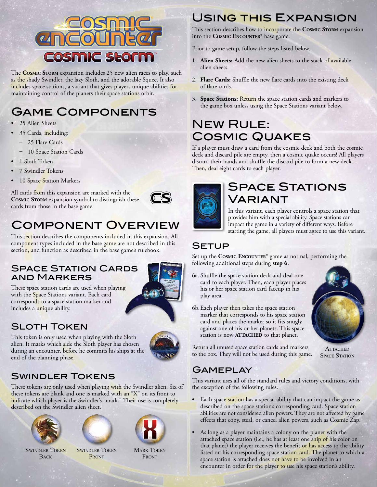

The **Cosmic Storm** expansion includes 25 new alien races to play, such as the shady Swindler, the lazy Sloth, and the adorable Squee. It also includes space stations, a variant that gives players unique abilities for maintaining control of the planets their space stations orbit.

# Game Components

- 25 Alien Sheets
- 35 Cards, including:
	- 25 Flare Cards
	- 10 Space Station Cards
- 1 Sloth Token
- 7 Swindler Tokens
- <sup>10</sup> Space Station Markers

All cards from this expansion are marked with the **Cosmic Storm** expansion symbol to distinguish these cards from those in the base game.



# Component Overview

This section describes the components included in this expansion. All component types included in the base game are not described in this section, and function as described in the base game's rulebook.

#### **SPACE STATION CARDS** and Markers

This token is only used when playing with the Sloth alien. It marks which side the Sloth player has chosen during an encounter, before he commits his ships at the



These space station cards are used when playing with the Space Stations variant. Each card corresponds to a space station marker and includes a unique ability.

### Sloth Token

end of the planning phase.

### Swindler Tokens

These tokens are only used when playing with the Swindler alien. Six of these tokens are blank and one is marked with an "X" on its front to indicate which player is the Swindler's "mark." Their use is completely described on the Swindler alien sheet.



**BACK** 



**SWINDLER TOKEN FRONT** 



**MARK TOKEN FRONT** 

## Using this Expansion

This section describes how to incorporate the **Cosmic Storm** expansion into the **Cosmic Encounter®** base game.

Prior to game setup, follow the steps listed below.

- 1. **Alien Sheets:** Add the new alien sheets to the stack of available alien sheets.
- 2. **Flare Cards:** Shuffle the new flare cards into the existing deck of flare cards.
- 3. **Space Stations:** Return the space station cards and markers to the game box unless using the Space Stations variant below.

# **NEW RULE:** Cosmic Quakes

If a player must draw a card from the cosmic deck and both the cosmic deck and discard pile are empty, then a cosmic quake occurs! All players discard their hands and shuffle the discard pile to form a new deck. Then, deal eight cards to each player.



### **SPACE STATIONS** Variant

In this variant, each player controls a space station that provides him with a special ability. Space stations can impact the game in a variety of different ways. Before starting the game, all players must agree to use this variant.

#### Setup

Set up the **Cosmic Encounter®** game as normal, performing the following additional steps during **step 6**.

- 6a. Shuffle the space station deck and deal one card to each player. Then, each player places his or her space station card faceup in his play area.
- 6b.Each player then takes the space station marker that corresponds to his space station card and places the marker so it fits snugly against one of his or her planets. This space station is now **ATTACHED** to that planet.



**ATTACHED SPACE STATION** 

Return all unused space station cards and markers to the box. They will not be used during this game.

### **GAMEPLAY**

This variant uses all of the standard rules and victory conditions, with the exception of the following rules.

- Each space station has a special ability that can impact the game as described on the space station's corresponding card. Space station abilities are not considered alien powers. They are not affected by game effects that copy, steal, or cancel alien powers, such as Cosmic Zap.
- As long as a player maintains a colony on the planet with the attached space station (i.e., he has at least one ship of his color on that planet) the player receives the benefit or has access to the ability listed on his corresponding space station card. The planet to which a space station is attached does not have to be involved in an encounter in order for the player to use his space station's ability.